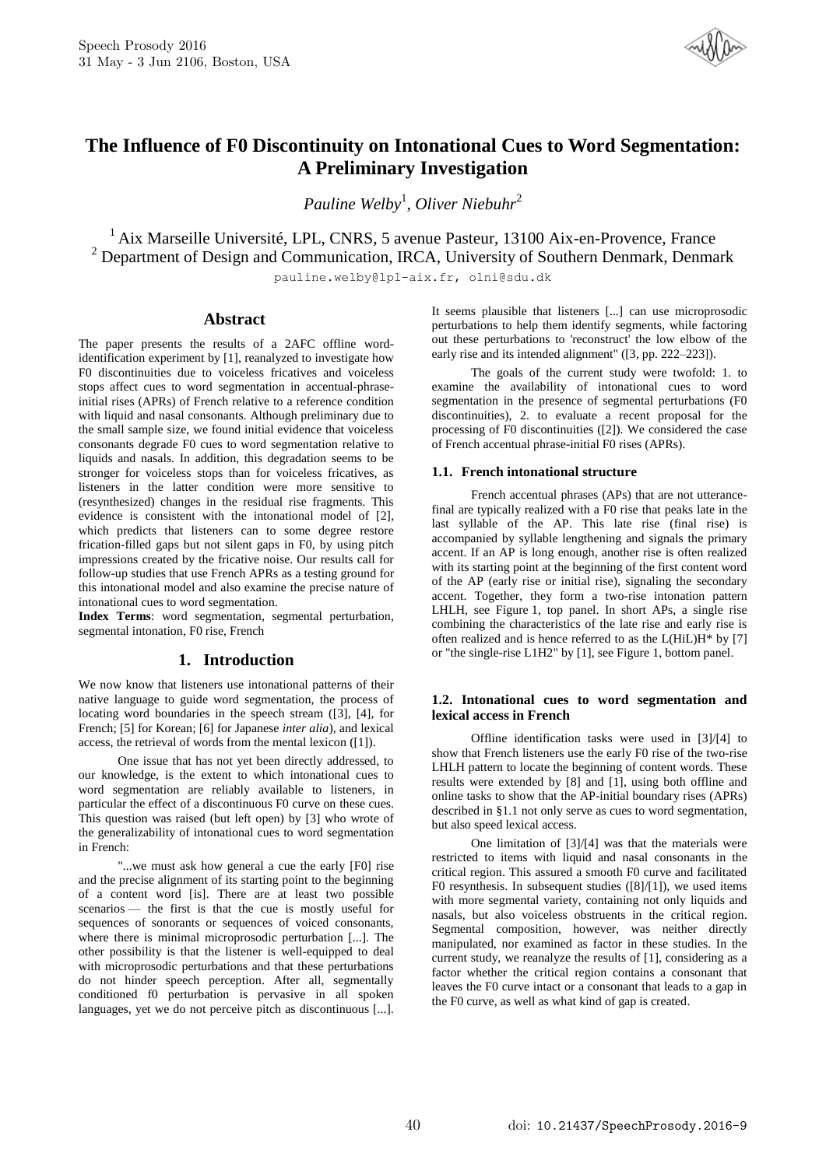

# **The Influence of F0 Discontinuity on Intonational Cues to Word Segmentation: A Preliminary Investigation**

*Pauline Welby*<sup>1</sup> *, Oliver Niebuhr*<sup>2</sup>

<sup>1</sup> Aix Marseille Université, LPL, CNRS, 5 avenue Pasteur, 13100 Aix-en-Provence, France <sup>2</sup> Department of Design and Communication, IRCA, University of Southern Denmark, Denmark

pauline.welby@lpl-aix.fr, olni@sdu.dk

# **Abstract**

The paper presents the results of a 2AFC offline wordidentification experiment by [1], reanalyzed to investigate how F0 discontinuities due to voiceless fricatives and voiceless stops affect cues to word segmentation in accentual-phraseinitial rises (APRs) of French relative to a reference condition with liquid and nasal consonants. Although preliminary due to the small sample size, we found initial evidence that voiceless consonants degrade F0 cues to word segmentation relative to liquids and nasals. In addition, this degradation seems to be stronger for voiceless stops than for voiceless fricatives, as listeners in the latter condition were more sensitive to (resynthesized) changes in the residual rise fragments. This evidence is consistent with the intonational model of [2], which predicts that listeners can to some degree restore frication-filled gaps but not silent gaps in F0, by using pitch impressions created by the fricative noise. Our results call for follow-up studies that use French APRs as a testing ground for this intonational model and also examine the precise nature of intonational cues to word segmentation.

**Index Terms**: word segmentation, segmental perturbation, segmental intonation, F0 rise, French

## **1. Introduction**

We now know that listeners use intonational patterns of their native language to guide word segmentation, the process of locating word boundaries in the speech stream ([3], [4], for French; [5] for Korean; [6] for Japanese *inter alia*), and lexical access, the retrieval of words from the mental lexicon ([1]).

One issue that has not yet been directly addressed, to our knowledge, is the extent to which intonational cues to word segmentation are reliably available to listeners, in particular the effect of a discontinuous F0 curve on these cues. This question was raised (but left open) by [3] who wrote of the generalizability of intonational cues to word segmentation in French:

"...we must ask how general a cue the early [F0] rise and the precise alignment of its starting point to the beginning of a content word [is]. There are at least two possible scenarios — the first is that the cue is mostly useful for sequences of sonorants or sequences of voiced consonants, where there is minimal microprosodic perturbation [...]. The other possibility is that the listener is well-equipped to deal with microprosodic perturbations and that these perturbations do not hinder speech perception. After all, segmentally conditioned f0 perturbation is pervasive in all spoken languages, yet we do not perceive pitch as discontinuous [...]. It seems plausible that listeners [...] can use microprosodic perturbations to help them identify segments, while factoring out these perturbations to 'reconstruct' the low elbow of the early rise and its intended alignment" ([3, pp. 222–223]).

The goals of the current study were twofold: 1. to examine the availability of intonational cues to word segmentation in the presence of segmental perturbations (F0 discontinuities), 2. to evaluate a recent proposal for the processing of F0 discontinuities ([2]). We considered the case of French accentual phrase-initial F0 rises (APRs).

#### **1.1. French intonational structure**

French accentual phrases (APs) that are not utterancefinal are typically realized with a F0 rise that peaks late in the last syllable of the AP. This late rise (final rise) is accompanied by syllable lengthening and signals the primary accent. If an AP is long enough, another rise is often realized with its starting point at the beginning of the first content word of the AP (early rise or initial rise), signaling the secondary accent. Together, they form a two-rise intonation pattern LHLH, see Figure 1, top panel. In short APs, a single rise combining the characteristics of the late rise and early rise is often realized and is hence referred to as the L(HiL)H\* by [7] or "the single-rise L1H2" by [1], see Figure 1, bottom panel.

## **1.2. Intonational cues to word segmentation and lexical access in French**

Offline identification tasks were used in [3]/[4] to show that French listeners use the early F0 rise of the two-rise LHLH pattern to locate the beginning of content words. These results were extended by [8] and [1], using both offline and online tasks to show that the AP-initial boundary rises (APRs) described in §1.1 not only serve as cues to word segmentation, but also speed lexical access.

One limitation of [3]/[4] was that the materials were restricted to items with liquid and nasal consonants in the critical region. This assured a smooth F0 curve and facilitated F0 resynthesis. In subsequent studies ([8]/[1]), we used items with more segmental variety, containing not only liquids and nasals, but also voiceless obstruents in the critical region. Segmental composition, however, was neither directly manipulated, nor examined as factor in these studies. In the current study, we reanalyze the results of [1], considering as a factor whether the critical region contains a consonant that leaves the F0 curve intact or a consonant that leads to a gap in the F0 curve, as well as what kind of gap is created.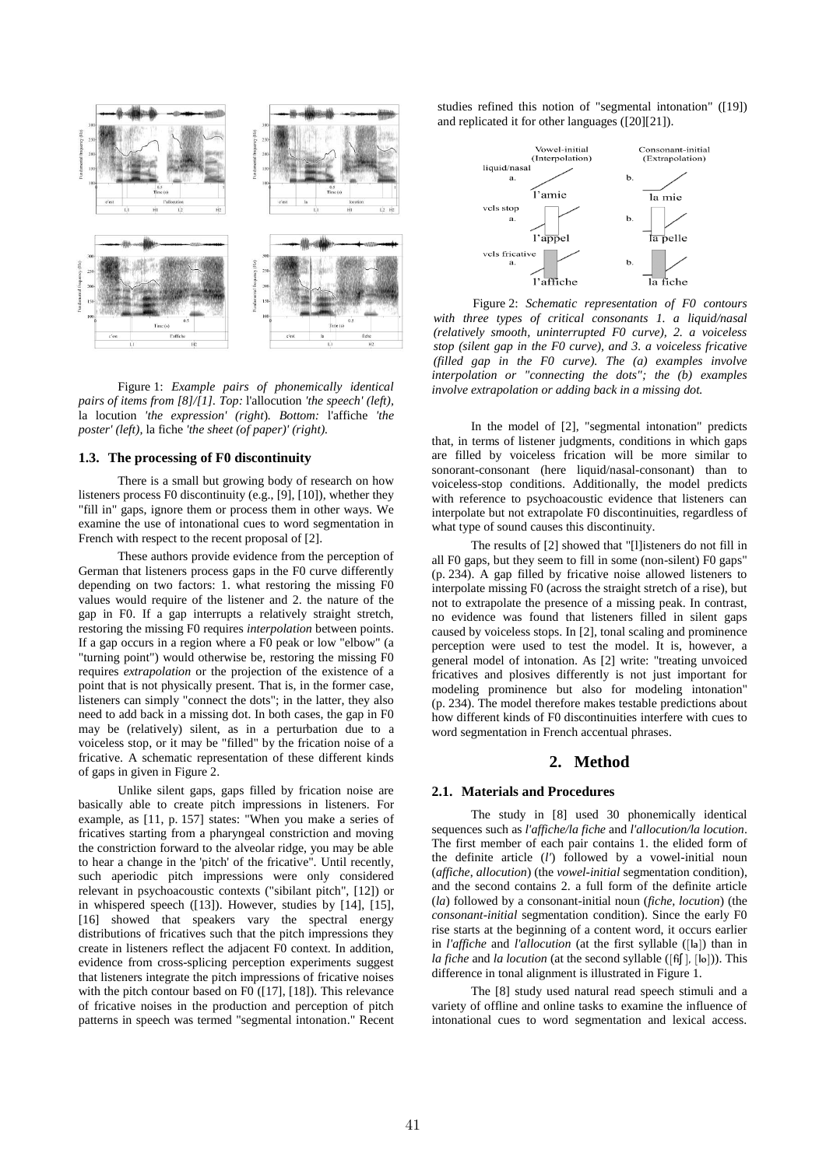

Figure 1: *Example pairs of phonemically identical pairs of items from [8]/[1]. Top:* l'allocution *'the speech' (left),*  la locution *'the expression' (right*)*. Bottom:* l'affiche *'the poster' (left),* la fiche *'the sheet (of paper)' (right).*

# **1.3. The processing of F0 discontinuity**

There is a small but growing body of research on how listeners process F0 discontinuity (e.g., [9], [10]), whether they "fill in" gaps, ignore them or process them in other ways. We examine the use of intonational cues to word segmentation in French with respect to the recent proposal of [2].

These authors provide evidence from the perception of German that listeners process gaps in the F0 curve differently depending on two factors: 1. what restoring the missing F0 values would require of the listener and 2. the nature of the gap in F0. If a gap interrupts a relatively straight stretch, restoring the missing F0 requires *interpolation* between points. If a gap occurs in a region where a F0 peak or low "elbow" (a "turning point") would otherwise be, restoring the missing F0 requires *extrapolation* or the projection of the existence of a point that is not physically present. That is, in the former case, listeners can simply "connect the dots"; in the latter, they also need to add back in a missing dot. In both cases, the gap in F0 may be (relatively) silent, as in a perturbation due to a voiceless stop, or it may be "filled" by the frication noise of a fricative. A schematic representation of these different kinds of gaps in given in Figure 2.

Unlike silent gaps, gaps filled by frication noise are basically able to create pitch impressions in listeners. For example, as [11, p. 157] states: "When you make a series of fricatives starting from a pharyngeal constriction and moving the constriction forward to the alveolar ridge, you may be able to hear a change in the 'pitch' of the fricative". Until recently, such aperiodic pitch impressions were only considered relevant in psychoacoustic contexts ("sibilant pitch", [12]) or in whispered speech ([13]). However, studies by [14], [15], [16] showed that speakers vary the spectral energy distributions of fricatives such that the pitch impressions they create in listeners reflect the adjacent F0 context. In addition, evidence from cross-splicing perception experiments suggest that listeners integrate the pitch impressions of fricative noises with the pitch contour based on F0 ([17], [18]). This relevance of fricative noises in the production and perception of pitch patterns in speech was termed "segmental intonation." Recent studies refined this notion of "segmental intonation" ([19]) and replicated it for other languages ([20][21]).



Figure 2: *Schematic representation of F0 contours with three types of critical consonants 1. a liquid/nasal (relatively smooth, uninterrupted F0 curve), 2. a voiceless stop (silent gap in the F0 curve), and 3. a voiceless fricative (filled gap in the F0 curve). The (a) examples involve interpolation or "connecting the dots"; the (b) examples involve extrapolation or adding back in a missing dot.*

In the model of [2], "segmental intonation" predicts that, in terms of listener judgments, conditions in which gaps are filled by voiceless frication will be more similar to sonorant-consonant (here liquid/nasal-consonant) than to voiceless-stop conditions. Additionally, the model predicts with reference to psychoacoustic evidence that listeners can interpolate but not extrapolate F0 discontinuities, regardless of what type of sound causes this discontinuity.

The results of [2] showed that "[l]isteners do not fill in all F0 gaps, but they seem to fill in some (non-silent) F0 gaps" (p. 234). A gap filled by fricative noise allowed listeners to interpolate missing F0 (across the straight stretch of a rise), but not to extrapolate the presence of a missing peak. In contrast, no evidence was found that listeners filled in silent gaps caused by voiceless stops. In [2], tonal scaling and prominence perception were used to test the model. It is, however, a general model of intonation. As [2] write: "treating unvoiced fricatives and plosives differently is not just important for modeling prominence but also for modeling intonation" (p. 234). The model therefore makes testable predictions about how different kinds of F0 discontinuities interfere with cues to word segmentation in French accentual phrases.

## **2. Method**

#### **2.1. Materials and Procedures**

The study in [8] used 30 phonemically identical sequences such as *l'affiche/la fiche* and *l'allocution/la locution*. The first member of each pair contains 1. the elided form of the definite article (*l'*) followed by a vowel-initial noun (*affiche*, *allocution*) (the *vowel-initial* segmentation condition), and the second contains 2. a full form of the definite article (*la*) followed by a consonant-initial noun (*fiche, locution*) (the *consonant-initial* segmentation condition). Since the early F0 rise starts at the beginning of a content word, it occurs earlier in *l'affiche* and *l'allocution* (at the first syllable ([la]) than in *la fiche* and *la locution* (at the second syllable ([fiʃ ], [lo])). This difference in tonal alignment is illustrated in Figure 1.

The [8] study used natural read speech stimuli and a variety of offline and online tasks to examine the influence of intonational cues to word segmentation and lexical access.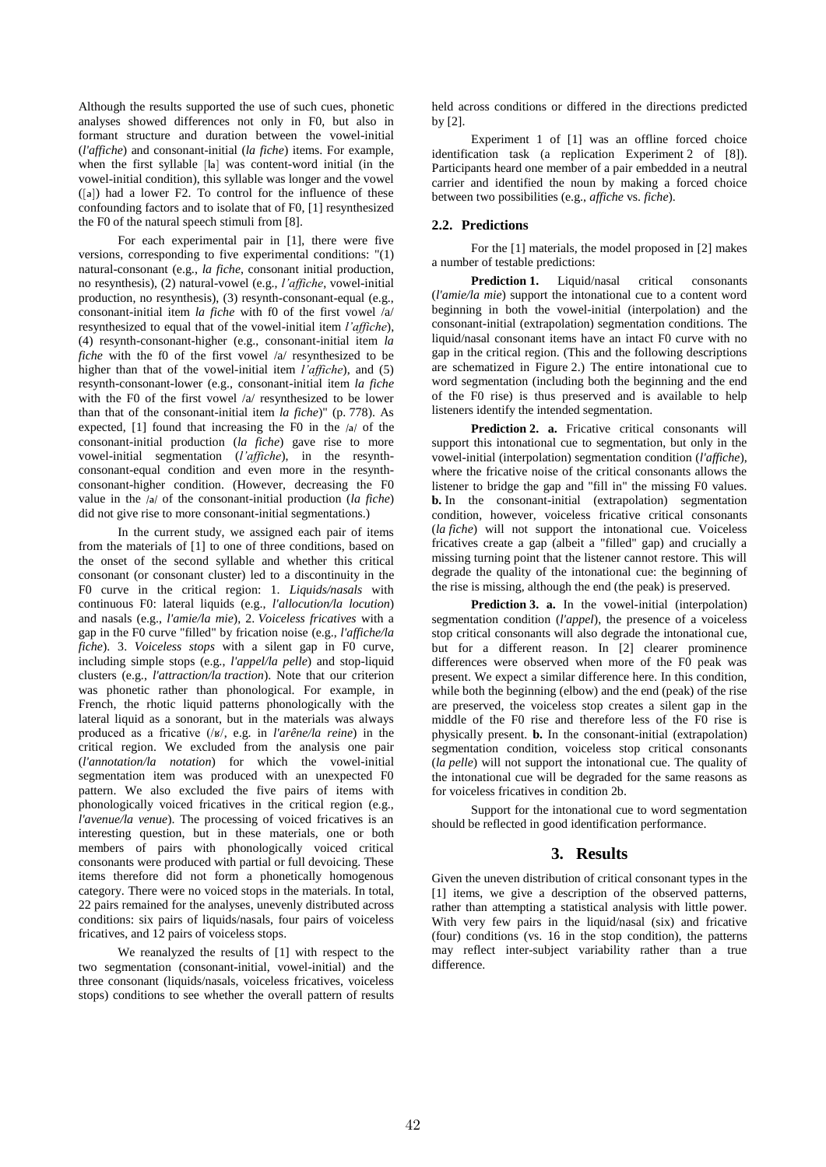Although the results supported the use of such cues, phonetic analyses showed differences not only in F0, but also in formant structure and duration between the vowel-initial (*l'affiche*) and consonant-initial (*la fiche*) items. For example, when the first syllable [la] was content-word initial (in the vowel-initial condition), this syllable was longer and the vowel  $([a])$  had a lower F2. To control for the influence of these confounding factors and to isolate that of F0, [1] resynthesized the F0 of the natural speech stimuli from [8].

For each experimental pair in [1], there were five versions, corresponding to five experimental conditions: "(1) natural-consonant (e.g., *la fiche*, consonant initial production, no resynthesis), (2) natural-vowel (e.g., *l'affiche*, vowel-initial production, no resynthesis), (3) resynth-consonant-equal (e.g., consonant-initial item *la fiche* with f0 of the first vowel /a/ resynthesized to equal that of the vowel-initial item *l'affiche*), (4) resynth-consonant-higher (e.g., consonant-initial item *la fiche* with the f0 of the first vowel /a/ resynthesized to be higher than that of the vowel-initial item *l'affiche*), and (5) resynth-consonant-lower (e.g., consonant-initial item *la fiche* with the F0 of the first vowel /a/ resynthesized to be lower than that of the consonant-initial item *la fiche*)" (p. 778). As expected, [1] found that increasing the F0 in the /a/ of the consonant-initial production (*la fiche*) gave rise to more vowel-initial segmentation (*l'affiche*), in the resynthconsonant-equal condition and even more in the resynthconsonant-higher condition. (However, decreasing the F0 value in the /a/ of the consonant-initial production (*la fiche*) did not give rise to more consonant-initial segmentations.)

In the current study, we assigned each pair of items from the materials of [1] to one of three conditions, based on the onset of the second syllable and whether this critical consonant (or consonant cluster) led to a discontinuity in the F0 curve in the critical region: 1. *Liquids/nasals* with continuous F0: lateral liquids (e.g., *l'allocution/la locution*) and nasals (e.g., *l'amie/la mie*), 2. *Voiceless fricatives* with a gap in the F0 curve "filled" by frication noise (e.g., *l'affiche/la fiche*). 3. *Voiceless stops* with a silent gap in F0 curve, including simple stops (e.g., *l'appel/la pelle*) and stop-liquid clusters (e.g., *l'attraction/la traction*). Note that our criterion was phonetic rather than phonological. For example, in French, the rhotic liquid patterns phonologically with the lateral liquid as a sonorant, but in the materials was always produced as a fricative (/ʁ/, e.g. in *l'arêne/la reine*) in the critical region. We excluded from the analysis one pair (*l'annotation/la notation*) for which the vowel-initial segmentation item was produced with an unexpected F0 pattern. We also excluded the five pairs of items with phonologically voiced fricatives in the critical region (e.g., *l'avenue/la venue*). The processing of voiced fricatives is an interesting question, but in these materials, one or both members of pairs with phonologically voiced critical consonants were produced with partial or full devoicing. These items therefore did not form a phonetically homogenous category. There were no voiced stops in the materials. In total, 22 pairs remained for the analyses, unevenly distributed across conditions: six pairs of liquids/nasals, four pairs of voiceless fricatives, and 12 pairs of voiceless stops.

We reanalyzed the results of [1] with respect to the two segmentation (consonant-initial, vowel-initial) and the three consonant (liquids/nasals, voiceless fricatives, voiceless stops) conditions to see whether the overall pattern of results held across conditions or differed in the directions predicted by [2].

Experiment 1 of [1] was an offline forced choice identification task (a replication Experiment 2 of [8]). Participants heard one member of a pair embedded in a neutral carrier and identified the noun by making a forced choice between two possibilities (e.g., *affiche* vs. *fiche*).

# **2.2. Predictions**

For the [1] materials, the model proposed in [2] makes a number of testable predictions:

**Prediction 1.** Liquid/nasal critical consonants (*l'amie/la mie*) support the intonational cue to a content word beginning in both the vowel-initial (interpolation) and the consonant-initial (extrapolation) segmentation conditions. The liquid/nasal consonant items have an intact F0 curve with no gap in the critical region. (This and the following descriptions are schematized in Figure 2.) The entire intonational cue to word segmentation (including both the beginning and the end of the F0 rise) is thus preserved and is available to help listeners identify the intended segmentation.

**Prediction 2. a.** Fricative critical consonants will support this intonational cue to segmentation, but only in the vowel-initial (interpolation) segmentation condition (*l'affiche*), where the fricative noise of the critical consonants allows the listener to bridge the gap and "fill in" the missing F0 values. **b.** In the consonant-initial (extrapolation) segmentation condition, however, voiceless fricative critical consonants (*la fiche*) will not support the intonational cue. Voiceless fricatives create a gap (albeit a "filled" gap) and crucially a missing turning point that the listener cannot restore. This will degrade the quality of the intonational cue: the beginning of the rise is missing, although the end (the peak) is preserved.

**Prediction 3. a.** In the vowel-initial (interpolation) segmentation condition (*l'appel*), the presence of a voiceless stop critical consonants will also degrade the intonational cue, but for a different reason. In [2] clearer prominence differences were observed when more of the  $F<sub>0</sub>$  peak was present. We expect a similar difference here. In this condition, while both the beginning (elbow) and the end (peak) of the rise are preserved, the voiceless stop creates a silent gap in the middle of the F0 rise and therefore less of the F0 rise is physically present. **b.** In the consonant-initial (extrapolation) segmentation condition, voiceless stop critical consonants (*la pelle*) will not support the intonational cue. The quality of the intonational cue will be degraded for the same reasons as for voiceless fricatives in condition 2b.

Support for the intonational cue to word segmentation should be reflected in good identification performance.

# **3. Results**

Given the uneven distribution of critical consonant types in the [1] items, we give a description of the observed patterns, rather than attempting a statistical analysis with little power. With very few pairs in the liquid/nasal (six) and fricative (four) conditions (vs. 16 in the stop condition), the patterns may reflect inter-subject variability rather than a true difference.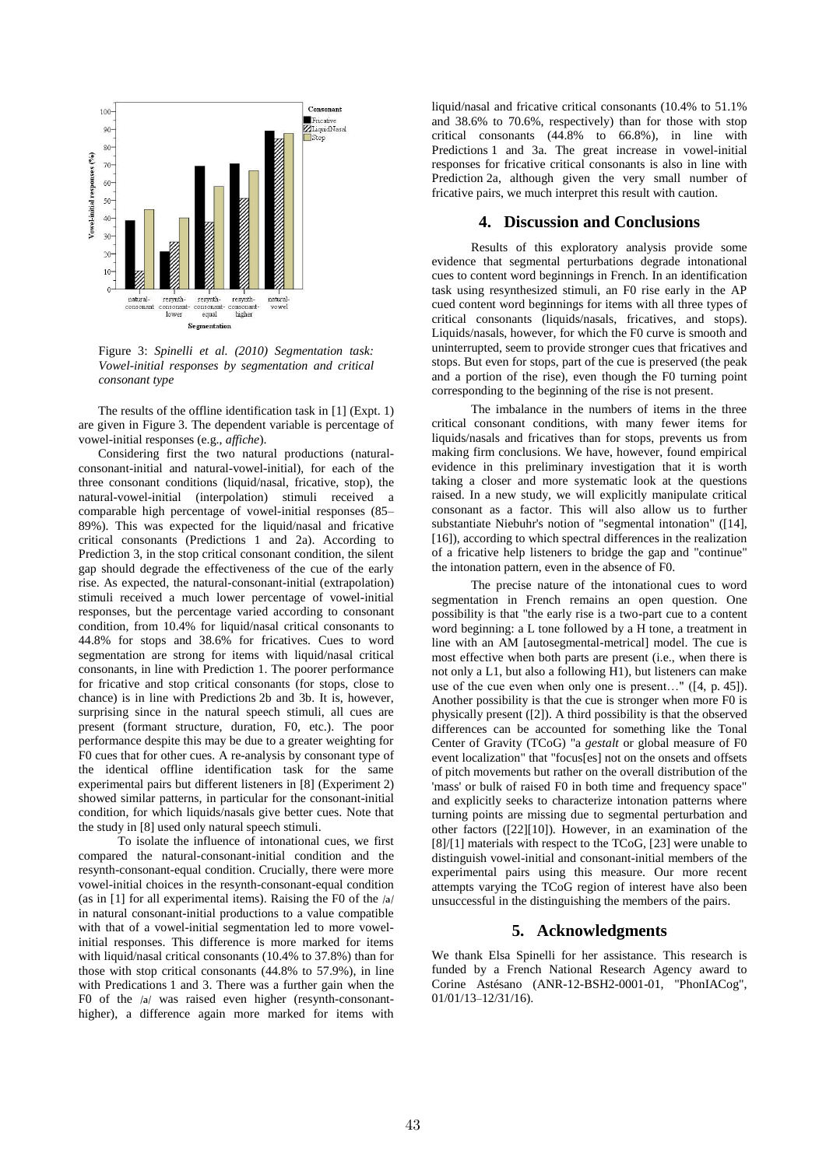

Figure 3: *Spinelli et al. (2010) Segmentation task: Vowel-initial responses by segmentation and critical consonant type*

The results of the offline identification task in [1] (Expt. 1) are given in Figure 3. The dependent variable is percentage of vowel-initial responses (e.g., *affiche*).

Considering first the two natural productions (naturalconsonant-initial and natural-vowel-initial), for each of the three consonant conditions (liquid/nasal, fricative, stop), the natural-vowel-initial (interpolation) stimuli received a comparable high percentage of vowel-initial responses (85– 89%). This was expected for the liquid/nasal and fricative critical consonants (Predictions 1 and 2a). According to Prediction 3, in the stop critical consonant condition, the silent gap should degrade the effectiveness of the cue of the early rise. As expected, the natural-consonant-initial (extrapolation) stimuli received a much lower percentage of vowel-initial responses, but the percentage varied according to consonant condition, from 10.4% for liquid/nasal critical consonants to 44.8% for stops and 38.6% for fricatives. Cues to word segmentation are strong for items with liquid/nasal critical consonants, in line with Prediction 1. The poorer performance for fricative and stop critical consonants (for stops, close to chance) is in line with Predictions 2b and 3b. It is, however, surprising since in the natural speech stimuli, all cues are present (formant structure, duration, F0, etc.). The poor performance despite this may be due to a greater weighting for F0 cues that for other cues. A re-analysis by consonant type of the identical offline identification task for the same experimental pairs but different listeners in [8] (Experiment 2) showed similar patterns, in particular for the consonant-initial condition, for which liquids/nasals give better cues. Note that the study in [8] used only natural speech stimuli.

To isolate the influence of intonational cues, we first compared the natural-consonant-initial condition and the resynth-consonant-equal condition. Crucially, there were more vowel-initial choices in the resynth-consonant-equal condition (as in [1] for all experimental items). Raising the F0 of the /a/ in natural consonant-initial productions to a value compatible with that of a vowel-initial segmentation led to more vowelinitial responses. This difference is more marked for items with liquid/nasal critical consonants (10.4% to 37.8%) than for those with stop critical consonants (44.8% to 57.9%), in line with Predications 1 and 3. There was a further gain when the F0 of the /a/ was raised even higher (resynth-consonanthigher), a difference again more marked for items with liquid/nasal and fricative critical consonants (10.4% to 51.1% and 38.6% to 70.6%, respectively) than for those with stop critical consonants (44.8% to 66.8%), in line with Predictions 1 and 3a. The great increase in vowel-initial responses for fricative critical consonants is also in line with Prediction 2a, although given the very small number of fricative pairs, we much interpret this result with caution.

# **4. Discussion and Conclusions**

Results of this exploratory analysis provide some evidence that segmental perturbations degrade intonational cues to content word beginnings in French. In an identification task using resynthesized stimuli, an F0 rise early in the AP cued content word beginnings for items with all three types of critical consonants (liquids/nasals, fricatives, and stops). Liquids/nasals, however, for which the F0 curve is smooth and uninterrupted, seem to provide stronger cues that fricatives and stops. But even for stops, part of the cue is preserved (the peak and a portion of the rise), even though the F0 turning point corresponding to the beginning of the rise is not present.

The imbalance in the numbers of items in the three critical consonant conditions, with many fewer items for liquids/nasals and fricatives than for stops, prevents us from making firm conclusions. We have, however, found empirical evidence in this preliminary investigation that it is worth taking a closer and more systematic look at the questions raised. In a new study, we will explicitly manipulate critical consonant as a factor. This will also allow us to further substantiate Niebuhr's notion of "segmental intonation" ([14], [16]), according to which spectral differences in the realization of a fricative help listeners to bridge the gap and "continue" the intonation pattern, even in the absence of F0.

The precise nature of the intonational cues to word segmentation in French remains an open question. One possibility is that "the early rise is a two-part cue to a content word beginning: a L tone followed by a H tone, a treatment in line with an AM [autosegmental-metrical] model. The cue is most effective when both parts are present (i.e., when there is not only a L1, but also a following H1), but listeners can make use of the cue even when only one is present…" ([4, p. 45]). Another possibility is that the cue is stronger when more F0 is physically present ([2]). A third possibility is that the observed differences can be accounted for something like the Tonal Center of Gravity (TCoG) "a *gestalt* or global measure of F0 event localization" that "focus[es] not on the onsets and offsets of pitch movements but rather on the overall distribution of the 'mass' or bulk of raised F0 in both time and frequency space" and explicitly seeks to characterize intonation patterns where turning points are missing due to segmental perturbation and other factors ([22][10]). However, in an examination of the [8]/[1] materials with respect to the TCoG, [23] were unable to distinguish vowel-initial and consonant-initial members of the experimental pairs using this measure. Our more recent attempts varying the TCoG region of interest have also been unsuccessful in the distinguishing the members of the pairs.

## **5. Acknowledgments**

We thank Elsa Spinelli for her assistance. This research is funded by a French National Research Agency award to Corine Astésano (ANR-12-BSH2-0001-01, "PhonIACog", 01/01/13–12/31/16).